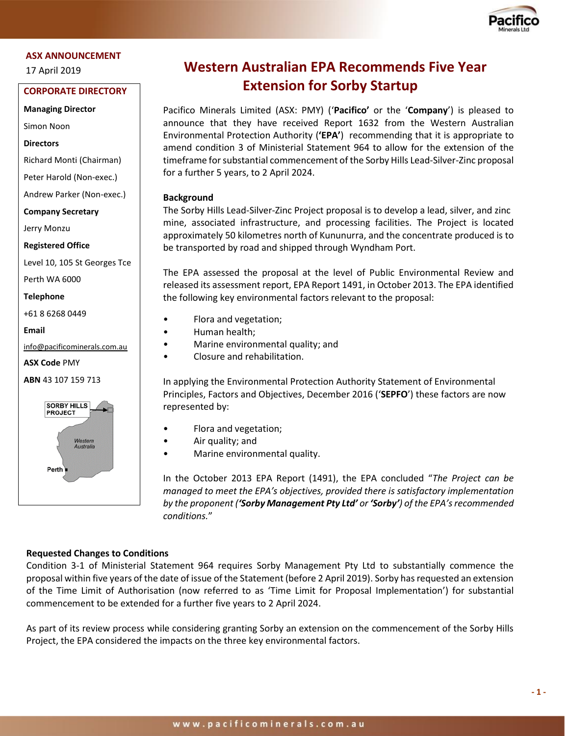

#### **ASX ANNOUNCEMENT**

17 April 2019

# **2222222201920 CORPORATE DIRECTORY**

**19 Managing Director**

Simon Noon

#### **Directors**

Richard Monti (Chairman)

Peter Harold (Non-exec.)

Andrew Parker (Non-exec.)

**Company Secretary**

Jerry Monzu

**Registered Office**

Level 10, 105 St Georges Tce

Perth WA 6000

**Telephone**

+61 8 6268 0449

**Email** 

[info@pacificominerals.com.au](mailto:info@pacificominerals.com.au)

**ASX Code** PMY

**ABN** 43 107 159 713



# **Western Australian EPA Recommends Five Year Extension for Sorby Startup**

Pacifico Minerals Limited (ASX: PMY) ('**Pacifico'** or the '**Company**') is pleased to announce that they have received Report 1632 from the Western Australian Environmental Protection Authority (**'EPA'**) recommending that it is appropriate to amend condition 3 of Ministerial Statement 964 to allow for the extension of the timeframe for substantial commencement of the Sorby Hills Lead-Silver-Zinc proposal for a further 5 years, to 2 April 2024.

#### **Background**

The Sorby Hills Lead-Silver-Zinc Project proposal is to develop a lead, silver, and zinc mine, associated infrastructure, and processing facilities. The Project is located approximately 50 kilometres north of Kununurra, and the concentrate produced is to be transported by road and shipped through Wyndham Port.

The EPA assessed the proposal at the level of Public Environmental Review and released its assessment report, EPA Report 1491, in October 2013. The EPA identified the following key environmental factors relevant to the proposal:

- Flora and vegetation;
- Human health;
- Marine environmental quality; and
- Closure and rehabilitation.

In applying the Environmental Protection Authority Statement of Environmental Principles, Factors and Objectives, December 2016 ('**SEPFO**') these factors are now represented by:

- Flora and vegetation;
- Air quality; and
- Marine environmental quality.

In the October 2013 EPA Report (1491), the EPA concluded "*The Project can be managed to meet the EPA's objectives, provided there is satisfactory implementation by the proponent ('Sorby Management Pty Ltd' or 'Sorby') of the EPA's recommended conditions.*"

#### **Requested Changes to Conditions**

Condition 3-1 of Ministerial Statement 964 requires Sorby Management Pty Ltd to substantially commence the proposal within five years of the date of issue of the Statement (before 2 April 2019). Sorby has requested an extension of the Time Limit of Authorisation (now referred to as 'Time Limit for Proposal Implementation') for substantial commencement to be extended for a further five years to 2 April 2024.

As part of its review process while considering granting Sorby an extension on the commencement of the Sorby Hills Project, the EPA considered the impacts on the three key environmental factors.